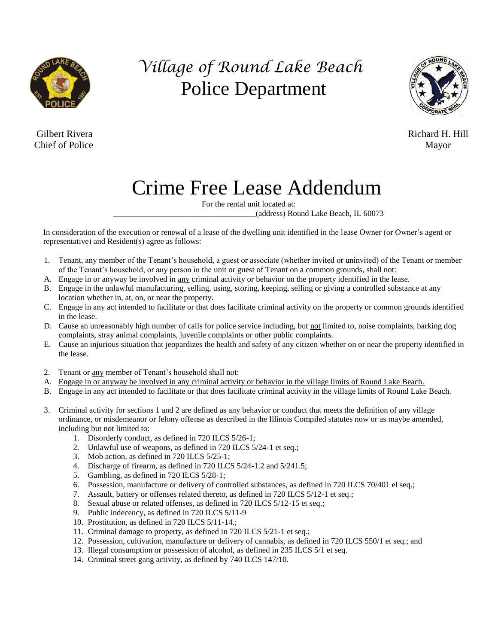

## *Village of Round Lake Beach* Police Department

**Chief of Police** Mayor



Gilbert Rivera Richard H. Hill

## Crime Free Lease Addendum

For the rental unit located at:

\_\_\_\_\_\_\_\_\_\_\_\_\_\_\_\_\_\_\_\_\_\_\_\_\_\_\_\_\_\_\_\_\_\_\_(address) Round Lake Beach, IL 60073

In consideration of the execution or renewal of a lease of the dwelling unit identified in the lease Owner (or Owner's agent or representative) and Resident(s) agree as follows:

- 1. Tenant, any member of the Tenant's household, a guest or associate (whether invited or uninvited) of the Tenant or member of the Tenant's household, or any person in the unit or guest of Tenant on a common grounds, shall not:
- A. Engage in or anyway be involved in any criminal activity or behavior on the property identified in the lease.
- B. Engage in the unlawful manufacturing, selling, using, storing, keeping, selling or giving a controlled substance at any location whether in, at, on, or near the property.
- C. Engage in any act intended to facilitate or that does facilitate criminal activity on the property or common grounds identified in the lease.
- D. Cause an unreasonably high number of calls for police service including, but not limited to, noise complaints, barking dog complaints, stray animal complaints, juvenile complaints or other public complaints.
- E. Cause an injurious situation that jeopardizes the health and safety of any citizen whether on or near the property identified in the lease.
- 2. Tenant or any member of Tenant's household shall not:
- A. Engage in or anyway be involved in any criminal activity or behavior in the village limits of Round Lake Beach.
- B. Engage in any act intended to facilitate or that does facilitate criminal activity in the village limits of Round Lake Beach.
- 3. Criminal activity for sections 1 and 2 are defined as any behavior or conduct that meets the definition of any village ordinance, or misdemeanor or felony offense as described in the Illinois Compiled statutes now or as maybe amended, including but not limited to:
	- 1. Disorderly conduct, as defined in 720 ILCS 5/26-1;
	- 2. Unlawful use of weapons, as defined in 720 ILCS 5/24-1 et seq.;
	- 3. Mob action, as defined in 720 ILCS 5/25-1;
	- 4. Discharge of firearm, as defined in 720 ILCS 5/24-1.2 and 5/241.5;
	- 5. Gambling, as defined in 720 ILCS 5/28-1;
	- 6. Possession, manufacture or delivery of controlled substances, as defined in 720 ILCS 70/401 el seq.;
	- 7. Assault, battery or offenses related thereto, as defined in 720 ILCS 5/12-1 et seq.;
	- 8. Sexual abuse or related offenses, as defined in 720 ILCS 5/12-15 et seq.;
	- 9. Public indecency, as defined in 720 ILCS 5/11-9
	- 10. Prostitution, as defined in 720 ILCS 5/11-14.;
	- 11. Criminal damage to property, as defined in 720 ILCS 5/21-1 et seq.;
	- 12. Possession, cultivation, manufacture or delivery of cannabis, as defined in 720 ILCS 550/1 et seq.; and
	- 13. Illegal consumption or possession of alcohol, as defined in 235 ILCS 5/1 et seq.
	- 14. Criminal street gang activity, as defined by 740 ILCS 147/10.